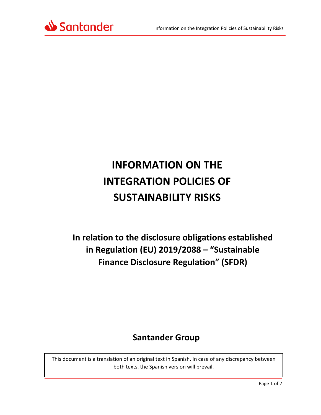

# **INFORMATION ON THE INTEGRATION POLICIES OF SUSTAINABILITY RISKS**

**In relation to the disclosure obligations established in Regulation (EU) 2019/2088 – "Sustainable Finance Disclosure Regulation" (SFDR)**

# **Santander Group**

This document is a translation of an original text in Spanish. In case of any discrepancy between both texts, the Spanish version will prevail.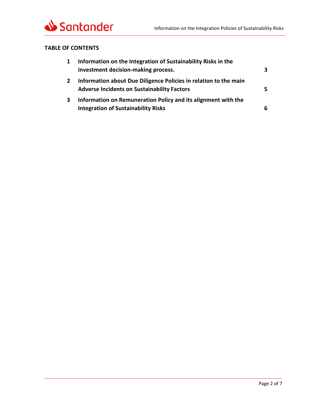

### **TABLE OF CONTENTS**

| $\mathbf{1}$ | Information on the Integration of Sustainability Risks in the                                                          |    |
|--------------|------------------------------------------------------------------------------------------------------------------------|----|
|              | investment decision-making process.                                                                                    | 3  |
| $\mathbf{2}$ | Information about Due Diligence Policies in relation to the main<br><b>Adverse Incidents on Sustainability Factors</b> | 5. |
| 3            | Information on Remuneration Policy and its alignment with the                                                          |    |
|              | <b>Integration of Sustainability Risks</b>                                                                             | 6  |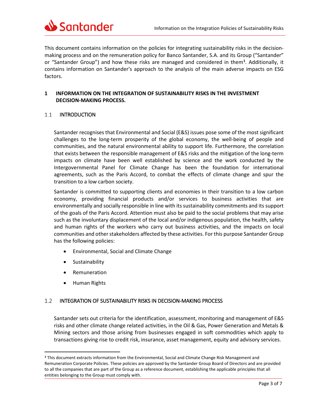

This document contains information on the policies for integrating sustainability risks in the decisionmaking process and on the remuneration policy for Banco Santander, S.A. and its Group ("Santander" or "Santander Group") and how these risks are managed and considered in them**[1](#page-2-1)** . Additionally, it contains information on Santander's approach to the analysis of the main adverse impacts on ESG factors.

#### <span id="page-2-0"></span>**1 INFORMATION ON THE INTEGRATION OF SUSTAINABILITY RISKS IN THE INVESTMENT DECISION-MAKING PROCESS.**

#### $1.1$ INTRODUCTION

Santander recognises that Environmental and Social (E&S) issues pose some of the most significant challenges to the long-term prosperity of the global economy, the well-being of people and communities, and the natural environmental ability to support life. Furthermore, the correlation that exists between the responsible management of E&S risks and the mitigation of the long-term impacts on climate have been well established by science and the work conducted by the Intergovernmental Panel for Climate Change has been the foundation for international agreements, such as the Paris Accord, to combat the effects of climate change and spur the transition to a low carbon society.

Santander is committed to supporting clients and economies in their transition to a low carbon economy, providing financial products and/or services to business activities that are environmentally and socially responsible in line with its sustainability commitments and its support of the goals of the Paris Accord. Attention must also be paid to the social problems that may arise such as the involuntary displacement of the local and/or indigenous population, the health, safety and human rights of the workers who carry out business activities, and the impacts on local communities and other stakeholders affected by these activities. For this purpose Santander Group has the following policies:

- Environmental, Social and Climate Change
- **Sustainability**
- **Remuneration**
- Human Rights

 $\overline{\phantom{a}}$ 

#### $1.2$ INTEGRATION OF SUSTAINABILITY RISKS IN DECISION-MAKING PROCESS

Santander sets out criteria for the identification, assessment, monitoring and management of E&S risks and other climate change related activities, in the Oil & Gas, Power Generation and Metals & Mining sectors and those arising from businesses engaged in soft commodities which apply to transactions giving rise to credit risk, insurance, asset management, equity and advisory services.

<span id="page-2-1"></span>**<sup>1</sup>** This document extracts information from the Environmental, Social and Climate Change Risk Management and Remuneration Corporate Policies. These policies are approved by the Santander Group Board of Directors and are provided to all the companies that are part of the Group as a reference document, establishing the applicable principles that all entities belonging to the Group must comply with.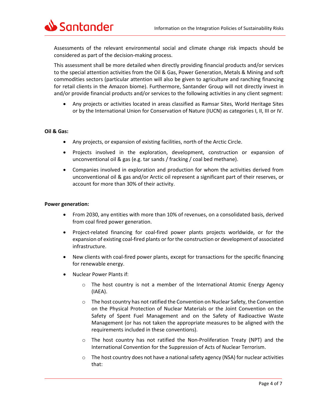

Assessments of the relevant environmental social and climate change risk impacts should be considered as part of the decision-making process.

This assessment shall be more detailed when directly providing financial products and/or services to the special attention activities from the Oil & Gas, Power Generation, Metals & Mining and soft commodities sectors (particular attention will also be given to agriculture and ranching financing for retail clients in the Amazon biome). Furthermore, Santander Group will not directly invest in and/or provide financial products and/or services to the following activities in any client segment:

• Any projects or activities located in areas classified as Ramsar Sites, World Heritage Sites or by the International Union for Conservation of Nature (IUCN) as categories I, II, III or IV.

#### **Oil & Gas:**

- Any projects, or expansion of existing facilities, north of the Arctic Circle.
- Projects involved in the exploration, development, construction or expansion of unconventional oil & gas (e.g. tar sands / fracking / coal bed methane).
- Companies involved in exploration and production for whom the activities derived from unconventional oil & gas and/or Arctic oil represent a significant part of their reserves, or account for more than 30% of their activity.

#### **Power generation:**

- From 2030, any entities with more than 10% of revenues, on a consolidated basis, derived from coal fired power generation.
- Project-related financing for coal-fired power plants projects worldwide, or for the expansion of existing coal-fired plants or for the construction or development of associated infrastructure.
- New clients with coal-fired power plants, except for transactions for the specific financing for renewable energy.
- Nuclear Power Plants if:
	- o The host country is not a member of the International Atomic Energy Agency (IAEA).
	- o The host country has not ratified the Convention on Nuclear Safety, the Convention on the Physical Protection of Nuclear Materials or the Joint Convention on the Safety of Spent Fuel Management and on the Safety of Radioactive Waste Management (or has not taken the appropriate measures to be aligned with the requirements included in these conventions).
	- o The host country has not ratified the Non-Proliferation Treaty (NPT) and the International Convention for the Suppression of Acts of Nuclear Terrorism.
	- $\circ$  The host country does not have a national safety agency (NSA) for nuclear activities that: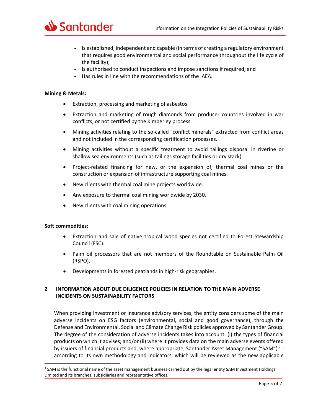

- **-** Is established, independent and capable (in terms of creating a regulatory environment that requires good environmental and social performance throughout the life cycle of the facility);
- **-** Is authorised to conduct inspections and impose sanctions if required; and
- **-** Has rules in line with the recommendations of the IAEA.

#### **Mining & Metals:**

- Extraction, processing and marketing of asbestos.
- Extraction and marketing of rough diamonds from producer countries involved in war conflicts, or not certified by the Kimberley process.
- Mining activities relating to the so-called "conflict minerals" extracted from conflict areas and not included in the corresponding certification processes.
- Mining activities without a specific treatment to avoid tailings disposal in riverine or shallow sea environments (such as tailings storage facilities or dry stack).
- Project-related financing for new, or the expansion of, thermal coal mines or the construction or expansion of infrastructure supporting coal mines.
- New clients with thermal coal mine projects worldwide.
- Any exposure to thermal coal mining worldwide by 2030.
- New clients with coal mining operations.

#### **Soft commodities:**

- Extraction and sale of native tropical wood species not certified to Forest Stewardship Council (FSC).
- Palm oil processors that are not members of the Roundtable on Sustainable Palm Oil (RSPO).
- Developments in forested peatlands in high-risk geographies.

## <span id="page-4-0"></span>**2 INFORMATION ABOUT DUE DILIGENCE POLICIES IN RELATION TO THE MAIN ADVERSE INCIDENTS ON SUSTAINABILITY FACTORS**

When providing investment or insurance advisory services, the entity considers some of the main adverse incidents on ESG factors (environmental, social and good governance), through the Defense and Environmental, Social and Climate Change Risk policies approved by Santander Group. The degree of the consideration of adverse incidents takes into account: (i) the types of financial products on which it advises; and/or (ii) where it provides data on the main adverse events offered by issuers of financial products and, where appropriate, Santander Asset Management ("SAM")<sup>[2](#page-4-1)</sup> according to its own methodology and indicators, which will be reviewed as the new applicable

<span id="page-4-1"></span><sup>&</sup>lt;sup>2</sup> SAM is the functional name of the asset management business carried out by the legal entity SAM Investment Holdings Limited and its branches, subsidiaries and representative offices.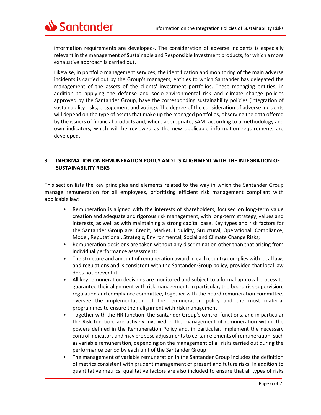

information requirements are developed-. The consideration of adverse incidents is especially relevant in the management of Sustainable and Responsible Investment products, for which a more exhaustive approach is carried out.

Likewise, in portfolio management services, the identification and monitoring of the main adverse incidents is carried out by the Group's managers, entities to which Santander has delegated the management of the assets of the clients' investment portfolios. These managing entities, in addition to applying the defense and socio-environmental risk and climate change policies approved by the Santander Group, have the corresponding sustainability policies (integration of sustainability risks, engagement and voting). The degree of the consideration of adverse incidents will depend on the type of assets that make up the managed portfolios, observing the data offered by the issuers of financial products and, where appropriate, SAM -according to a methodology and own indicators, which will be reviewed as the new applicable information requirements are developed.

#### <span id="page-5-0"></span>**3 INFORMATION ON REMUNERATION POLICY AND ITS ALIGNMENT WITH THE INTEGRATION OF SUSTAINABILITY RISKS**

This section lists the key principles and elements related to the way in which the Santander Group manage remuneration for all employees, prioritizing efficient risk management compliant with applicable law:

- Remuneration is aligned with the interests of shareholders, focused on long-term value creation and adequate and rigorous risk management, with long-term strategy, values and interests, as well as with maintaining a strong capital base. Key types and risk factors for the Santander Group are: Credit, Market, Liquidity, Structural, Operational, Compliance, Model, Reputational, Strategic, Environmental, Social and Climate Change Risks;
- Remuneration decisions are taken without any discrimination other than that arising from individual performance assessment;
- The structure and amount of remuneration award in each country complies with local laws and regulations and is consistent with the Santander Group policy, provided that local law does not prevent it;
- All key remuneration decisions are monitored and subject to a formal approval process to guarantee their alignment with risk management. In particular, the board risk supervision, regulation and compliance committee, together with the board remuneration committee, oversee the implementation of the remuneration policy and the most material programmes to ensure their alignment with risk management;
- Together with the HR function, the Santander Group's control functions, and in particular the Risk function, are actively involved in the management of remuneration within the powers defined in the Remuneration Policy and, in particular, implement the necessary control indicators and may propose adjustments to certain elements of remuneration, such as variable remuneration, depending on the management of all risks carried out during the performance period by each unit of the Santander Group;
- The management of variable remuneration in the Santander Group includes the definition of metrics consistent with prudent management of present and future risks. In addition to quantitative metrics, qualitative factors are also included to ensure that all types of risks